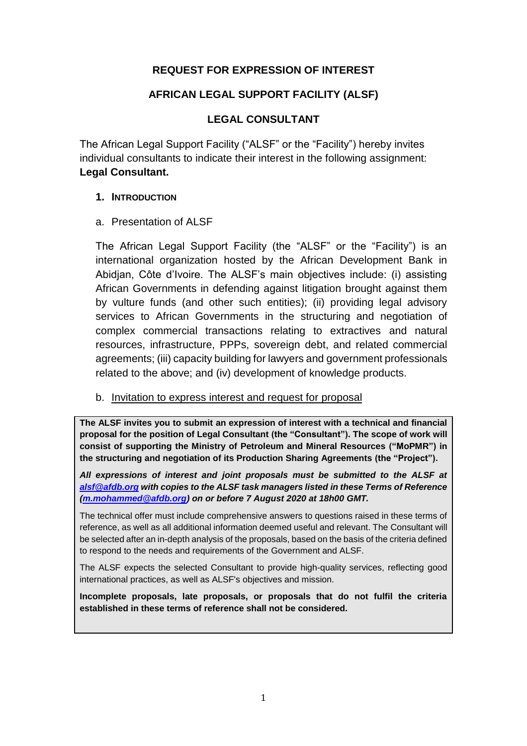### **REQUEST FOR EXPRESSION OF INTEREST**

#### **AFRICAN LEGAL SUPPORT FACILITY (ALSF)**

#### **LEGAL CONSULTANT**

The African Legal Support Facility ("ALSF" or the "Facility") hereby invites individual consultants to indicate their interest in the following assignment: **Legal Consultant.**

#### **1. INTRODUCTION**

#### a. Presentation of ALSF

The African Legal Support Facility (the "ALSF" or the "Facility") is an international organization hosted by the African Development Bank in Abidjan, Côte d'Ivoire. The ALSF's main objectives include: (i) assisting African Governments in defending against litigation brought against them by vulture funds (and other such entities); (ii) providing legal advisory services to African Governments in the structuring and negotiation of complex commercial transactions relating to extractives and natural resources, infrastructure, PPPs, sovereign debt, and related commercial agreements; (iii) capacity building for lawyers and government professionals related to the above; and (iv) development of knowledge products.

#### b. Invitation to express interest and request for proposal

**The ALSF invites you to submit an expression of interest with a technical and financial proposal for the position of Legal Consultant (the "Consultant"). The scope of work will consist of supporting the Ministry of Petroleum and Mineral Resources ("MoPMR") in the structuring and negotiation of its Production Sharing Agreements (the "Project").**

*All expressions of interest and joint proposals must be submitted to the ALSF at [alsf@afdb.org](mailto:alsf@afdb.org) with copies to the ALSF task managers listed in these Terms of Reference [\(m.mohammed@afdb.org\)](mailto:m.mohammed@afdb.org) on or before 7 August 2020 at 18h00 GMT.*

The technical offer must include comprehensive answers to questions raised in these terms of reference, as well as all additional information deemed useful and relevant. The Consultant will be selected after an in-depth analysis of the proposals, based on the basis of the criteria defined to respond to the needs and requirements of the Government and ALSF.

The ALSF expects the selected Consultant to provide high-quality services, reflecting good international practices, as well as ALSF's objectives and mission.

**Incomplete proposals, late proposals, or proposals that do not fulfil the criteria established in these terms of reference shall not be considered.**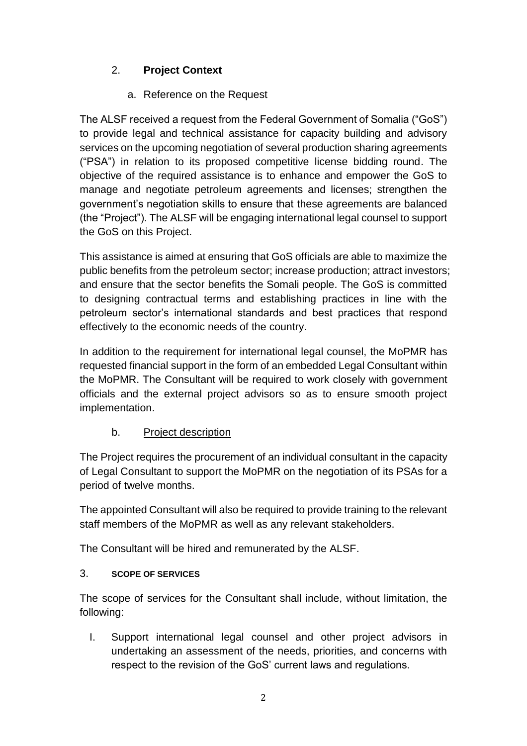# 2. **Project Context**

## a. Reference on the Request

The ALSF received a request from the Federal Government of Somalia ("GoS") to provide legal and technical assistance for capacity building and advisory services on the upcoming negotiation of several production sharing agreements ("PSA") in relation to its proposed competitive license bidding round. The objective of the required assistance is to enhance and empower the GoS to manage and negotiate petroleum agreements and licenses; strengthen the government's negotiation skills to ensure that these agreements are balanced (the "Project"). The ALSF will be engaging international legal counsel to support the GoS on this Project.

This assistance is aimed at ensuring that GoS officials are able to maximize the public benefits from the petroleum sector; increase production; attract investors; and ensure that the sector benefits the Somali people. The GoS is committed to designing contractual terms and establishing practices in line with the petroleum sector's international standards and best practices that respond effectively to the economic needs of the country.

In addition to the requirement for international legal counsel, the MoPMR has requested financial support in the form of an embedded Legal Consultant within the MoPMR. The Consultant will be required to work closely with government officials and the external project advisors so as to ensure smooth project implementation.

## b. Project description

The Project requires the procurement of an individual consultant in the capacity of Legal Consultant to support the MoPMR on the negotiation of its PSAs for a period of twelve months.

The appointed Consultant will also be required to provide training to the relevant staff members of the MoPMR as well as any relevant stakeholders.

The Consultant will be hired and remunerated by the ALSF.

## 3. **SCOPE OF SERVICES**

The scope of services for the Consultant shall include, without limitation, the following:

I. Support international legal counsel and other project advisors in undertaking an assessment of the needs, priorities, and concerns with respect to the revision of the GoS' current laws and regulations.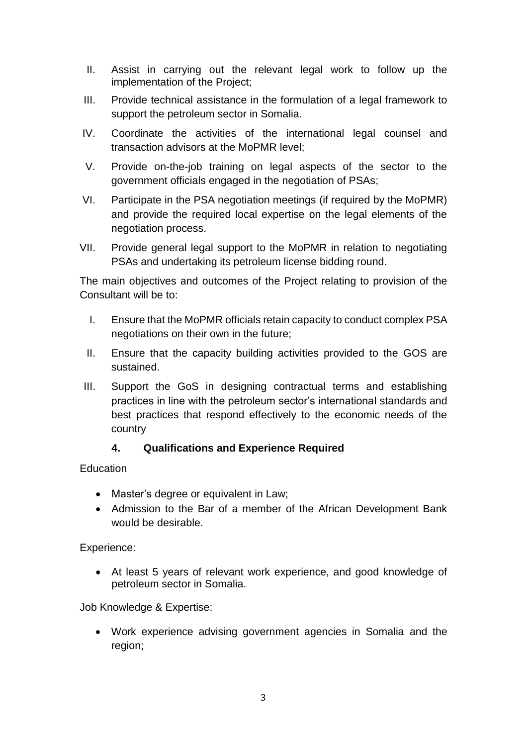- II. Assist in carrying out the relevant legal work to follow up the implementation of the Project;
- III. Provide technical assistance in the formulation of a legal framework to support the petroleum sector in Somalia.
- IV. Coordinate the activities of the international legal counsel and transaction advisors at the MoPMR level;
- V. Provide on-the-job training on legal aspects of the sector to the government officials engaged in the negotiation of PSAs;
- VI. Participate in the PSA negotiation meetings (if required by the MoPMR) and provide the required local expertise on the legal elements of the negotiation process.
- VII. Provide general legal support to the MoPMR in relation to negotiating PSAs and undertaking its petroleum license bidding round.

The main objectives and outcomes of the Project relating to provision of the Consultant will be to:

- I. Ensure that the MoPMR officials retain capacity to conduct complex PSA negotiations on their own in the future;
- II. Ensure that the capacity building activities provided to the GOS are sustained.
- III. Support the GoS in designing contractual terms and establishing practices in line with the petroleum sector's international standards and best practices that respond effectively to the economic needs of the country

### **4. Qualifications and Experience Required**

Education

- Master's degree or equivalent in Law;
- Admission to the Bar of a member of the African Development Bank would be desirable.

Experience:

 At least 5 years of relevant work experience, and good knowledge of petroleum sector in Somalia.

Job Knowledge & Expertise:

 Work experience advising government agencies in Somalia and the region;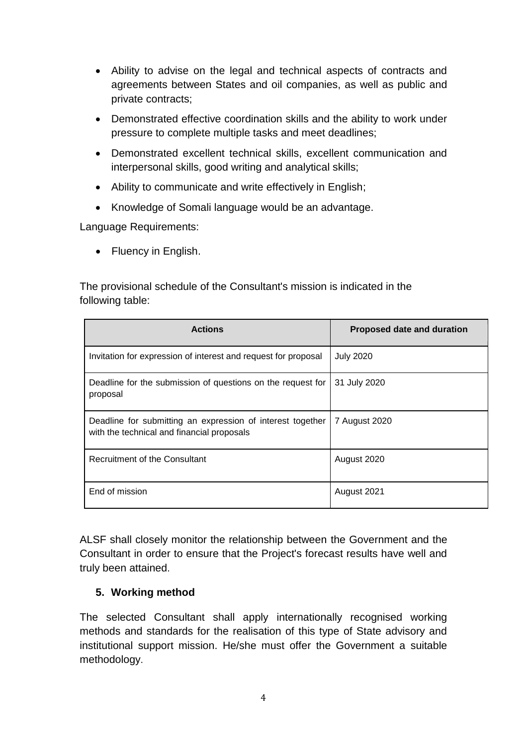- Ability to advise on the legal and technical aspects of contracts and agreements between States and oil companies, as well as public and private contracts;
- Demonstrated effective coordination skills and the ability to work under pressure to complete multiple tasks and meet deadlines;
- Demonstrated excellent technical skills, excellent communication and interpersonal skills, good writing and analytical skills;
- Ability to communicate and write effectively in English;
- Knowledge of Somali language would be an advantage.

Language Requirements:

• Fluency in English.

The provisional schedule of the Consultant's mission is indicated in the following table:

| <b>Actions</b>                                                                                           | <b>Proposed date and duration</b> |
|----------------------------------------------------------------------------------------------------------|-----------------------------------|
| Invitation for expression of interest and request for proposal                                           | <b>July 2020</b>                  |
| Deadline for the submission of questions on the request for<br>proposal                                  | 31 July 2020                      |
| Deadline for submitting an expression of interest together<br>with the technical and financial proposals | 7 August 2020                     |
| Recruitment of the Consultant                                                                            | August 2020                       |
| End of mission                                                                                           | August 2021                       |

ALSF shall closely monitor the relationship between the Government and the Consultant in order to ensure that the Project's forecast results have well and truly been attained.

### **5. Working method**

The selected Consultant shall apply internationally recognised working methods and standards for the realisation of this type of State advisory and institutional support mission. He/she must offer the Government a suitable methodology.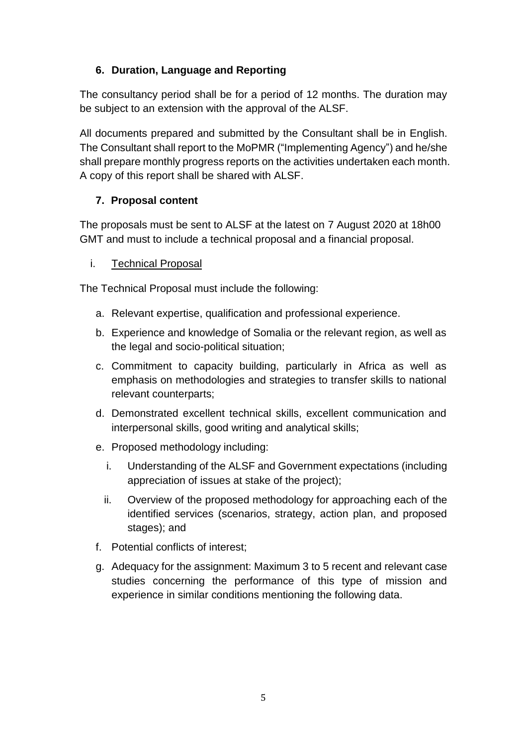## **6. Duration, Language and Reporting**

The consultancy period shall be for a period of 12 months. The duration may be subject to an extension with the approval of the ALSF.

All documents prepared and submitted by the Consultant shall be in English. The Consultant shall report to the MoPMR ("Implementing Agency") and he/she shall prepare monthly progress reports on the activities undertaken each month. A copy of this report shall be shared with ALSF.

# **7. Proposal content**

The proposals must be sent to ALSF at the latest on 7 August 2020 at 18h00 GMT and must to include a technical proposal and a financial proposal.

### i. Technical Proposal

The Technical Proposal must include the following:

- a. Relevant expertise, qualification and professional experience.
- b. Experience and knowledge of Somalia or the relevant region, as well as the legal and socio-political situation;
- c. Commitment to capacity building, particularly in Africa as well as emphasis on methodologies and strategies to transfer skills to national relevant counterparts;
- d. Demonstrated excellent technical skills, excellent communication and interpersonal skills, good writing and analytical skills;
- e. Proposed methodology including:
	- i. Understanding of the ALSF and Government expectations (including appreciation of issues at stake of the project);
	- ii. Overview of the proposed methodology for approaching each of the identified services (scenarios, strategy, action plan, and proposed stages); and
- f. Potential conflicts of interest;
- g. Adequacy for the assignment: Maximum 3 to 5 recent and relevant case studies concerning the performance of this type of mission and experience in similar conditions mentioning the following data.